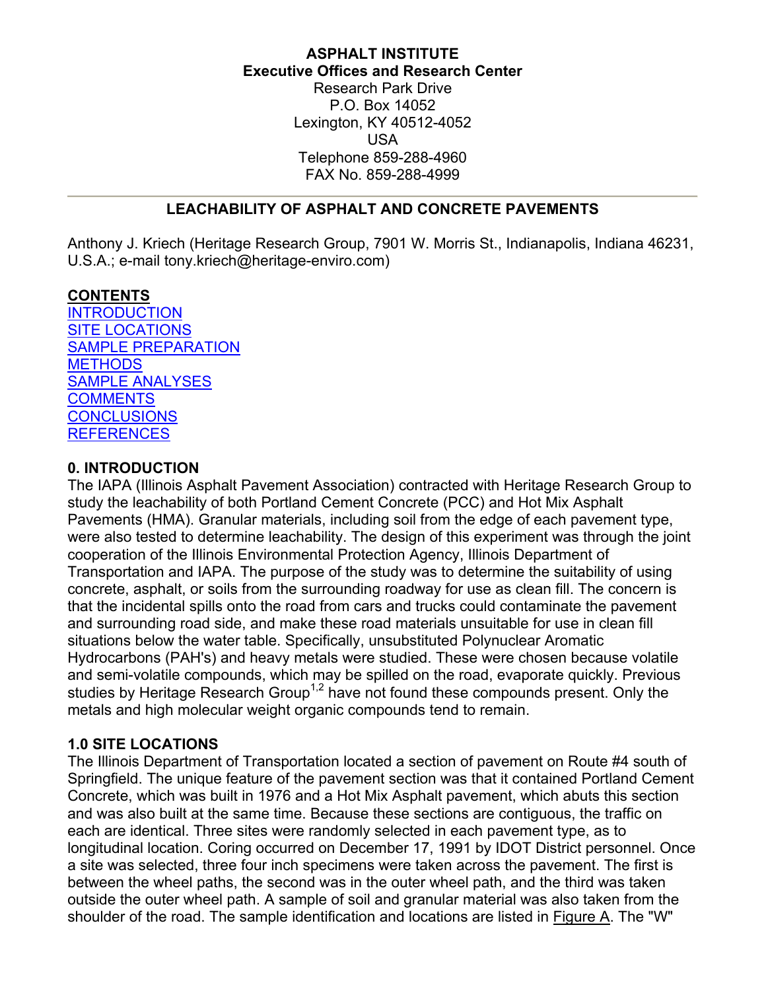# **ASPHALT INSTITUTE Executive Offices and Research Center**

Research Park Drive P.O. Box 14052 Lexington, KY 40512-4052 USA Telephone 859-288-4960 FAX No. 859-288-4999

# **LEACHABILITY OF ASPHALT AND CONCRETE PAVEMENTS**

<span id="page-0-0"></span>Anthony J. Kriech (Heritage Research Group, 7901 W. Morris St., Indianapolis, Indiana 46231, U.S.A.; e-mail tony.kriech@heritage-enviro.com)

# **CONTENTS**

**[INTRODUCTION](#page-0-0)** [SITE LOCATIONS](#page-0-0) [SAMPLE PREPARATION](#page-1-0) **[METHODS](#page-1-0)** [SAMPLE ANALYSES](#page-2-0) **[COMMENTS](#page-2-0) [CONCLUSIONS](#page-2-0) [REFERENCES](#page-3-0)** 

### **0. INTRODUCTION**

The IAPA (Illinois Asphalt Pavement Association) contracted with Heritage Research Group to study the leachability of both Portland Cement Concrete (PCC) and Hot Mix Asphalt Pavements (HMA). Granular materials, including soil from the edge of each pavement type, were also tested to determine leachability. The design of this experiment was through the joint cooperation of the Illinois Environmental Protection Agency, Illinois Department of Transportation and IAPA. The purpose of the study was to determine the suitability of using concrete, asphalt, or soils from the surrounding roadway for use as clean fill. The concern is that the incidental spills onto the road from cars and trucks could contaminate the pavement and surrounding road side, and make these road materials unsuitable for use in clean fill situations below the water table. Specifically, unsubstituted Polynuclear Aromatic Hydrocarbons (PAH's) and heavy metals were studied. These were chosen because volatile and semi-volatile compounds, which may be spilled on the road, evaporate quickly. Previous studies by Heritage Research Group<sup>1,2</sup> have not found these compounds present. Only the metals and high molecular weight organic compounds tend to remain.

# **1.0 SITE LOCATIONS**

The Illinois Department of Transportation located a section of pavement on Route #4 south of Springfield. The unique feature of the pavement section was that it contained Portland Cement Concrete, which was built in 1976 and a Hot Mix Asphalt pavement, which abuts this section and was also built at the same time. Because these sections are contiguous, the traffic on each are identical. Three sites were randomly selected in each pavement type, as to longitudinal location. Coring occurred on December 17, 1991 by IDOT District personnel. Once a site was selected, three four inch specimens were taken across the pavement. The first is between the wheel paths, the second was in the outer wheel path, and the third was taken outside the outer wheel path. A sample of soil and granular material was also taken from the shoulder of the road. The sample identification and locations are listed in [Figure A.](#page-3-0) The "W"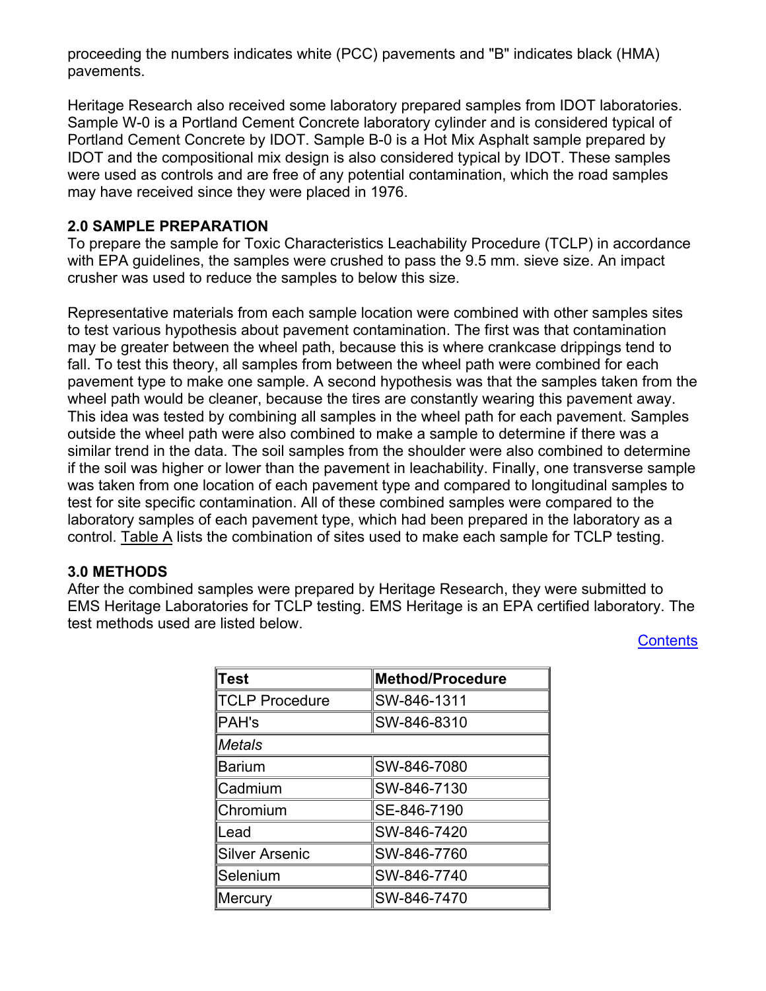<span id="page-1-0"></span>proceeding the numbers indicates white (PCC) pavements and "B" indicates black (HMA) pavements.

Heritage Research also received some laboratory prepared samples from IDOT laboratories. Sample W-0 is a Portland Cement Concrete laboratory cylinder and is considered typical of Portland Cement Concrete by IDOT. Sample B-0 is a Hot Mix Asphalt sample prepared by IDOT and the compositional mix design is also considered typical by IDOT. These samples were used as controls and are free of any potential contamination, which the road samples may have received since they were placed in 1976.

### **2.0 SAMPLE PREPARATION**

To prepare the sample for Toxic Characteristics Leachability Procedure (TCLP) in accordance with EPA guidelines, the samples were crushed to pass the 9.5 mm. sieve size. An impact crusher was used to reduce the samples to below this size.

Representative materials from each sample location were combined with other samples sites to test various hypothesis about pavement contamination. The first was that contamination may be greater between the wheel path, because this is where crankcase drippings tend to fall. To test this theory, all samples from between the wheel path were combined for each pavement type to make one sample. A second hypothesis was that the samples taken from the wheel path would be cleaner, because the tires are constantly wearing this pavement away. This idea was tested by combining all samples in the wheel path for each pavement. Samples outside the wheel path were also combined to make a sample to determine if there was a similar trend in the data. The soil samples from the shoulder were also combined to determine if the soil was higher or lower than the pavement in leachability. Finally, one transverse sample was taken from one location of each pavement type and compared to longitudinal samples to test for site specific contamination. All of these combined samples were compared to the laboratory samples of each pavement type, which had been prepared in the laboratory as a control. [Table A](#page-3-0) lists the combination of sites used to make each sample for TCLP testing.

#### **3.0 METHODS**

After the combined samples were prepared by Heritage Research, they were submitted to EMS Heritage Laboratories for TCLP testing. EMS Heritage is an EPA certified laboratory. The test methods used are listed below.

| lTest                 | <b>Method/Procedure</b> |  |  |  |  |
|-----------------------|-------------------------|--|--|--|--|
| <b>TCLP Procedure</b> | SW-846-1311             |  |  |  |  |
| PAH's                 | SW-846-8310             |  |  |  |  |
| $\blacksquare$ Metals |                         |  |  |  |  |
| <b>Barium</b>         | SW-846-7080             |  |  |  |  |
| ∥Cadmium              | SW-846-7130             |  |  |  |  |
| ∥Chromium             | SE-846-7190             |  |  |  |  |
| lLead                 | SW-846-7420             |  |  |  |  |
| Silver Arsenic        | SW-846-7760             |  |  |  |  |
| ISelenium             | SW-846-7740             |  |  |  |  |
| ∥Mercury              | SW-846-7470             |  |  |  |  |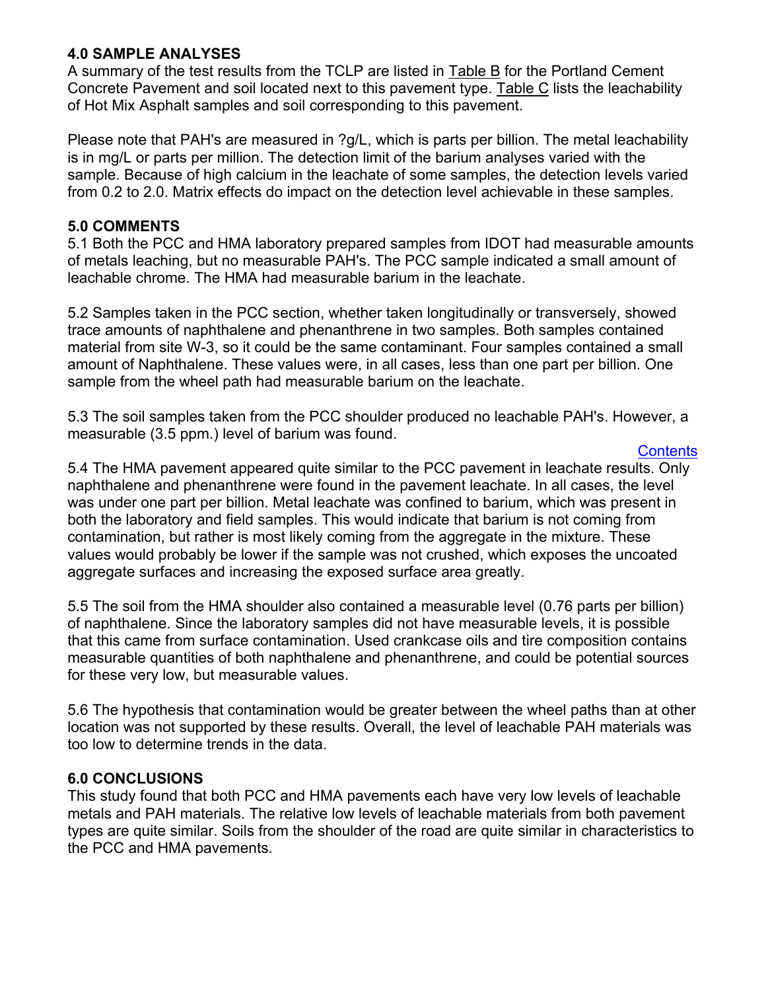### <span id="page-2-0"></span>**4.0 SAMPLE ANALYSES**

A summary of the test results from the TCLP are listed in [Table B](#page-3-0) for the Portland Cement Concrete Pavement and soil located next to this pavement type. [Table C](#page-5-0) lists the leachability of Hot Mix Asphalt samples and soil corresponding to this pavement.

Please note that PAH's are measured in ?g/L, which is parts per billion. The metal leachability is in mg/L or parts per million. The detection limit of the barium analyses varied with the sample. Because of high calcium in the leachate of some samples, the detection levels varied from 0.2 to 2.0. Matrix effects do impact on the detection level achievable in these samples.

### **5.0 COMMENTS**

5.1 Both the PCC and HMA laboratory prepared samples from IDOT had measurable amounts of metals leaching, but no measurable PAH's. The PCC sample indicated a small amount of leachable chrome. The HMA had measurable barium in the leachate.

5.2 Samples taken in the PCC section, whether taken longitudinally or transversely, showed trace amounts of naphthalene and phenanthrene in two samples. Both samples contained material from site W-3, so it could be the same contaminant. Four samples contained a small amount of Naphthalene. These values were, in all cases, less than one part per billion. One sample from the wheel path had measurable barium on the leachate.

5.3 The soil samples taken from the PCC shoulder produced no leachable PAH's. However, a measurable (3.5 ppm.) level of barium was found.

**[Contents](#page-0-0)** 

5.4 The HMA pavement appeared quite similar to the PCC pavement in leachate results. Only naphthalene and phenanthrene were found in the pavement leachate. In all cases, the level was under one part per billion. Metal leachate was confined to barium, which was present in both the laboratory and field samples. This would indicate that barium is not coming from contamination, but rather is most likely coming from the aggregate in the mixture. These values would probably be lower if the sample was not crushed, which exposes the uncoated aggregate surfaces and increasing the exposed surface area greatly.

5.5 The soil from the HMA shoulder also contained a measurable level (0.76 parts per billion) of naphthalene. Since the laboratory samples did not have measurable levels, it is possible that this came from surface contamination. Used crankcase oils and tire composition contains measurable quantities of both naphthalene and phenanthrene, and could be potential sources for these very low, but measurable values.

5.6 The hypothesis that contamination would be greater between the wheel paths than at other location was not supported by these results. Overall, the level of leachable PAH materials was too low to determine trends in the data.

# **6.0 CONCLUSIONS**

This study found that both PCC and HMA pavements each have very low levels of leachable metals and PAH materials. The relative low levels of leachable materials from both pavement types are quite similar. Soils from the shoulder of the road are quite similar in characteristics to the PCC and HMA pavements.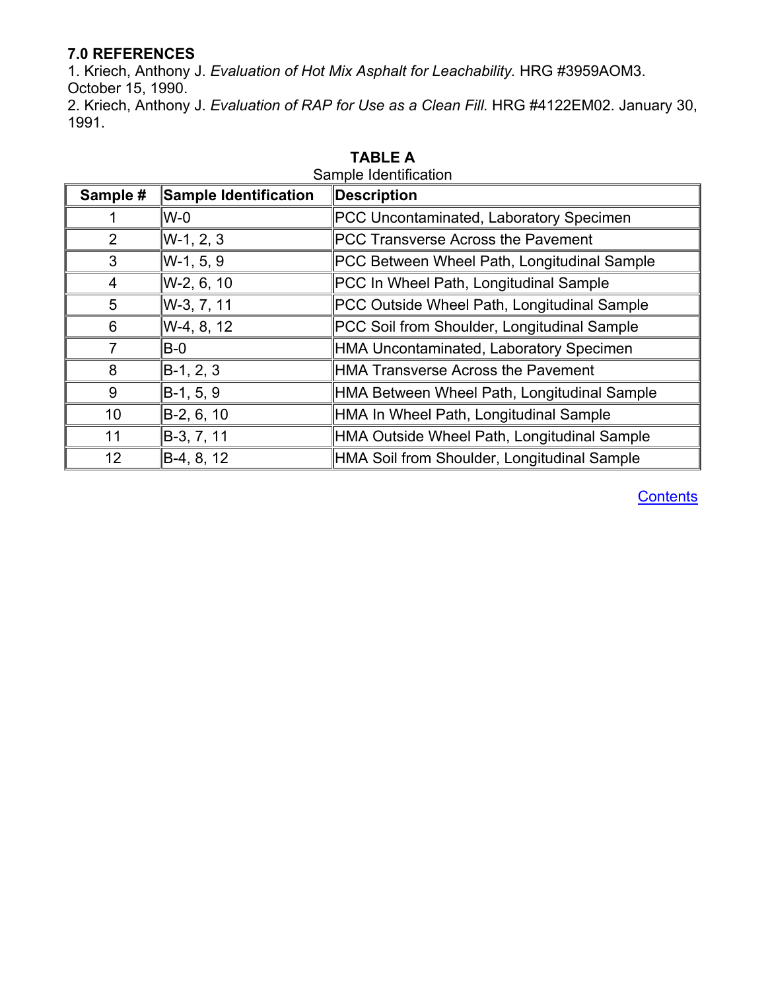# <span id="page-3-0"></span>**7.0 REFERENCES**

1. Kriech, Anthony J. *Evaluation of Hot Mix Asphalt for Leachability.* HRG #3959AOM3. October 15, 1990.

2. Kriech, Anthony J. *Evaluation of RAP for Use as a Clean Fill.* HRG #4122EM02. January 30, 1991.

| Sample #        | <b>Sample Identification</b> | <b>Description</b>                          |  |  |
|-----------------|------------------------------|---------------------------------------------|--|--|
|                 | $W-0$                        | PCC Uncontaminated, Laboratory Specimen     |  |  |
| 2               | W-1, 2, 3                    | PCC Transverse Across the Pavement          |  |  |
| 3               | W-1, 5, 9                    | PCC Between Wheel Path, Longitudinal Sample |  |  |
| 4               | W-2, 6, 10                   | PCC In Wheel Path, Longitudinal Sample      |  |  |
| 5               | W-3, 7, 11                   | PCC Outside Wheel Path, Longitudinal Sample |  |  |
| 6               | W-4, 8, 12                   | PCC Soil from Shoulder, Longitudinal Sample |  |  |
|                 | $B-0$                        | HMA Uncontaminated, Laboratory Specimen     |  |  |
| 8               | B-1, 2, 3                    | <b>HMA Transverse Across the Pavement</b>   |  |  |
| 9               | $B-1, 5, 9$                  | HMA Between Wheel Path, Longitudinal Sample |  |  |
| 10 <sup>1</sup> | $B-2, 6, 10$                 | HMA In Wheel Path, Longitudinal Sample      |  |  |
| 11              | B-3, 7, 11                   | HMA Outside Wheel Path, Longitudinal Sample |  |  |
| 12              | B-4, 8, 12                   | HMA Soil from Shoulder, Longitudinal Sample |  |  |

**TABLE A** Sample Identification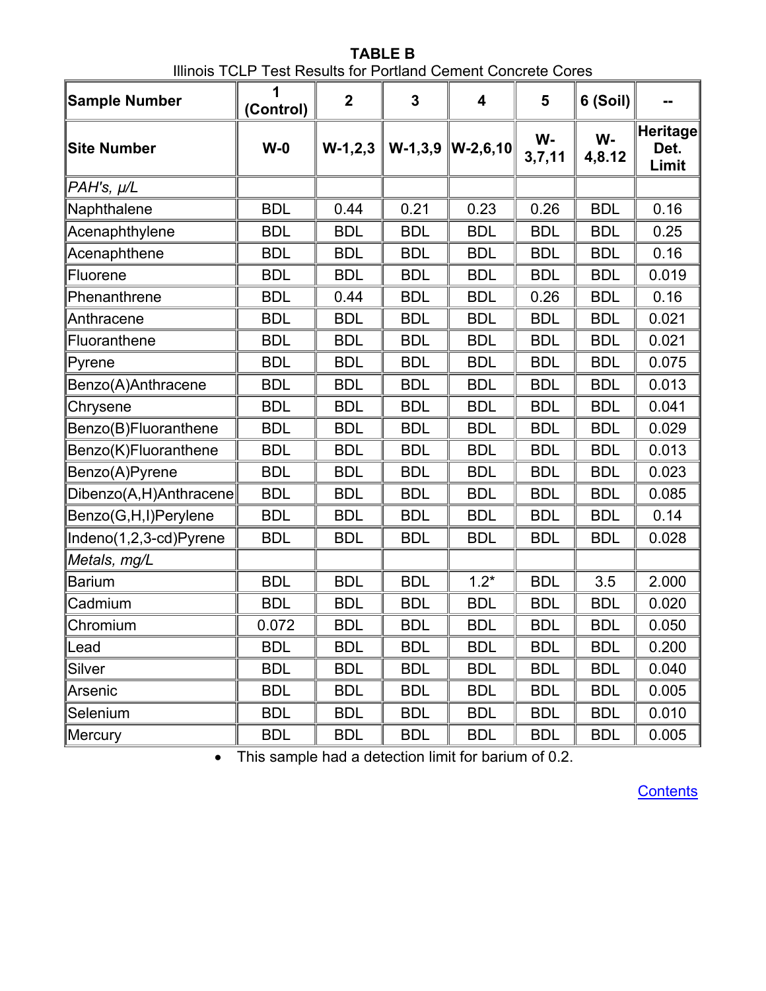**TABLE B**  Illinois TCLP Test Results for Portland Cement Concrete Cores

| Sample Number          | 1<br>(Control) | $\overline{2}$ | 3           | $\overline{\mathbf{4}}$ | 5            | 6 (Soil)     |                           |
|------------------------|----------------|----------------|-------------|-------------------------|--------------|--------------|---------------------------|
| <b>Site Number</b>     | $W-0$          | $W-1, 2, 3$    | $W-1, 3, 9$ | $\bf{W-2,6,10}$         | W-<br>3,7,11 | W-<br>4,8.12 | Heritage<br>Det.<br>Limit |
| PAH's, µ/L             |                |                |             |                         |              |              |                           |
| Naphthalene            | <b>BDL</b>     | 0.44           | 0.21        | 0.23                    | 0.26         | <b>BDL</b>   | 0.16                      |
| Acenaphthylene         | <b>BDL</b>     | <b>BDL</b>     | <b>BDL</b>  | <b>BDL</b>              | <b>BDL</b>   | <b>BDL</b>   | 0.25                      |
| Acenaphthene           | <b>BDL</b>     | <b>BDL</b>     | <b>BDL</b>  | <b>BDL</b>              | <b>BDL</b>   | <b>BDL</b>   | 0.16                      |
| Fluorene               | <b>BDL</b>     | <b>BDL</b>     | <b>BDL</b>  | <b>BDL</b>              | <b>BDL</b>   | <b>BDL</b>   | 0.019                     |
| Phenanthrene           | <b>BDL</b>     | 0.44           | <b>BDL</b>  | <b>BDL</b>              | 0.26         | <b>BDL</b>   | 0.16                      |
| Anthracene             | <b>BDL</b>     | <b>BDL</b>     | <b>BDL</b>  | <b>BDL</b>              | <b>BDL</b>   | <b>BDL</b>   | 0.021                     |
| Fluoranthene           | <b>BDL</b>     | <b>BDL</b>     | <b>BDL</b>  | <b>BDL</b>              | <b>BDL</b>   | <b>BDL</b>   | 0.021                     |
| Pyrene                 | <b>BDL</b>     | <b>BDL</b>     | <b>BDL</b>  | <b>BDL</b>              | <b>BDL</b>   | <b>BDL</b>   | 0.075                     |
| Benzo(A)Anthracene     | <b>BDL</b>     | <b>BDL</b>     | <b>BDL</b>  | <b>BDL</b>              | <b>BDL</b>   | <b>BDL</b>   | 0.013                     |
| Chrysene               | <b>BDL</b>     | <b>BDL</b>     | <b>BDL</b>  | <b>BDL</b>              | <b>BDL</b>   | <b>BDL</b>   | 0.041                     |
| Benzo(B)Fluoranthene   | <b>BDL</b>     | <b>BDL</b>     | <b>BDL</b>  | <b>BDL</b>              | <b>BDL</b>   | <b>BDL</b>   | 0.029                     |
| Benzo(K)Fluoranthene   | <b>BDL</b>     | <b>BDL</b>     | <b>BDL</b>  | <b>BDL</b>              | <b>BDL</b>   | <b>BDL</b>   | 0.013                     |
| Benzo(A)Pyrene         | <b>BDL</b>     | <b>BDL</b>     | <b>BDL</b>  | <b>BDL</b>              | <b>BDL</b>   | <b>BDL</b>   | 0.023                     |
| Dibenzo(A,H)Anthracene | <b>BDL</b>     | <b>BDL</b>     | <b>BDL</b>  | <b>BDL</b>              | <b>BDL</b>   | <b>BDL</b>   | 0.085                     |
| Benzo(G,H,I)Perylene   | <b>BDL</b>     | <b>BDL</b>     | <b>BDL</b>  | <b>BDL</b>              | <b>BDL</b>   | <b>BDL</b>   | 0.14                      |
| Indeno(1,2,3-cd)Pyrene | <b>BDL</b>     | <b>BDL</b>     | <b>BDL</b>  | <b>BDL</b>              | <b>BDL</b>   | <b>BDL</b>   | 0.028                     |
| Metals, mg/L           |                |                |             |                         |              |              |                           |
| <b>Barium</b>          | <b>BDL</b>     | <b>BDL</b>     | <b>BDL</b>  | $1.2*$                  | <b>BDL</b>   | 3.5          | 2.000                     |
| Cadmium                | <b>BDL</b>     | <b>BDL</b>     | <b>BDL</b>  | <b>BDL</b>              | <b>BDL</b>   | <b>BDL</b>   | 0.020                     |
| Chromium               | 0.072          | <b>BDL</b>     | <b>BDL</b>  | <b>BDL</b>              | <b>BDL</b>   | <b>BDL</b>   | 0.050                     |
| Lead                   | <b>BDL</b>     | <b>BDL</b>     | <b>BDL</b>  | <b>BDL</b>              | <b>BDL</b>   | <b>BDL</b>   | 0.200                     |
| Silver                 | <b>BDL</b>     | <b>BDL</b>     | <b>BDL</b>  | <b>BDL</b>              | <b>BDL</b>   | <b>BDL</b>   | 0.040                     |
| Arsenic                | <b>BDL</b>     | <b>BDL</b>     | <b>BDL</b>  | <b>BDL</b>              | <b>BDL</b>   | <b>BDL</b>   | 0.005                     |
| Selenium               | <b>BDL</b>     | <b>BDL</b>     | <b>BDL</b>  | <b>BDL</b>              | <b>BDL</b>   | <b>BDL</b>   | 0.010                     |
| Mercury                | <b>BDL</b>     | <b>BDL</b>     | <b>BDL</b>  | <b>BDL</b>              | <b>BDL</b>   | <b>BDL</b>   | 0.005                     |

• This sample had a detection limit for barium of 0.2.